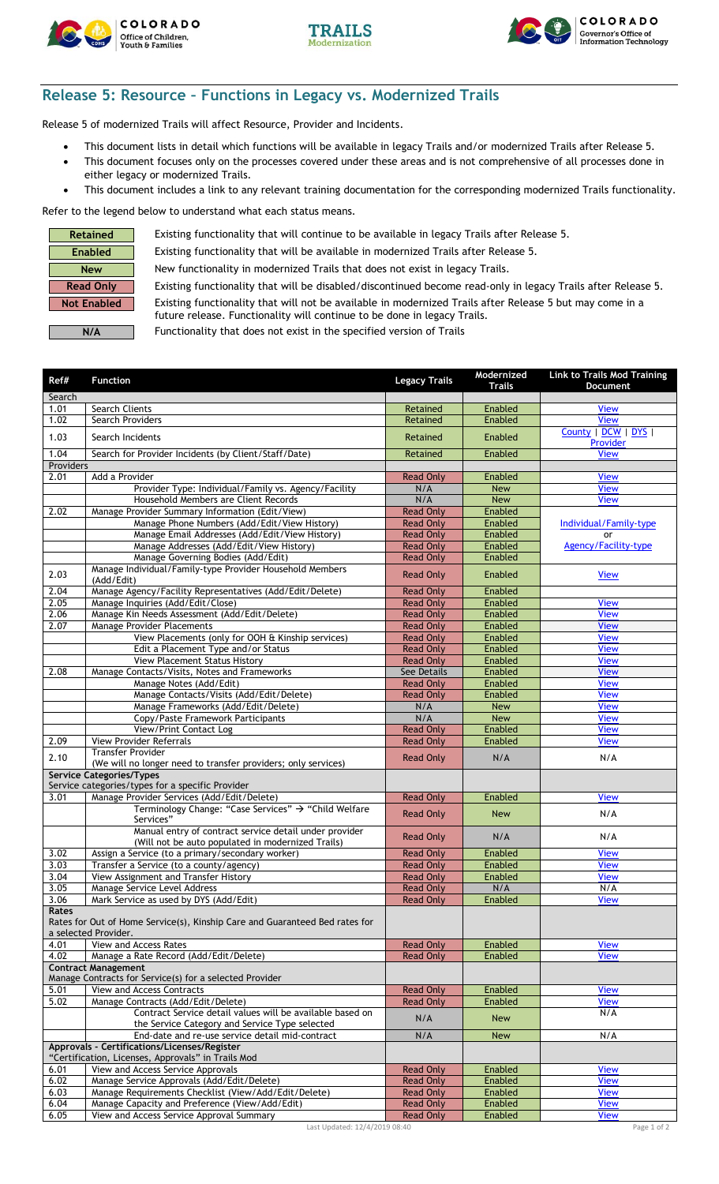





## **Release 5: Resource – Functions in Legacy vs. Modernized Trails**

Release 5 of modernized Trails will affect Resource, Provider and Incidents.

- This document lists in detail which functions will be available in legacy Trails and/or modernized Trails after Release 5.
- This document focuses only on the processes covered under these areas and is not comprehensive of all processes done in either legacy or modernized Trails.
- This document includes a link to any relevant training documentation for the corresponding modernized Trails functionality.

Refer to the legend below to understand what each status means.

| Retained           |
|--------------------|
| Enabled            |
| <b>New</b>         |
| Read Only          |
| <b>Not Enabled</b> |
|                    |

Existing functionality that will continue to be available in legacy Trails after Release 5.

Existing functionality that will be available in modernized Trails after Release 5. **New** New functionality in modernized Trails that does not exist in legacy Trails.

Existing functionality that will be disabled/discontinued become read-only in legacy Trails after Release 5. Existing functionality that will not be available in modernized Trails after Release 5 but may come in a

Functionality that does not exist in the specified version of Trails

future release. Functionality will continue to be done in legacy Trails.

| Ref#          | <b>Function</b>                                                                                             | <b>Legacy Trails</b>                 | Modernized<br>Trails     | <b>Link to Trails Mod Training</b><br>Document |
|---------------|-------------------------------------------------------------------------------------------------------------|--------------------------------------|--------------------------|------------------------------------------------|
| Search        |                                                                                                             |                                      |                          |                                                |
| 1.01          | Search Clients                                                                                              | Retained                             | Enabled                  | <b>View</b>                                    |
| 1.02          | Search Providers                                                                                            | Retained                             | Enabled                  | <b>View</b>                                    |
| 1.03          | Search Incidents                                                                                            | Retained                             | Enabled                  | County   DCW   DYS  <br>Provider               |
| 1.04          | Search for Provider Incidents (by Client/Staff/Date)                                                        | Retained                             | Enabled                  | <b>View</b>                                    |
| Providers     |                                                                                                             |                                      |                          |                                                |
| 2.01          | Add a Provider                                                                                              | <b>Read Only</b>                     | Enabled                  | <b>View</b>                                    |
|               | Provider Type: Individual/Family vs. Agency/Facility<br>Household Members are Client Records                | N/A<br>N/A                           | <b>New</b><br><b>New</b> | <b>View</b><br><b>View</b>                     |
| 2.02          | Manage Provider Summary Information (Edit/View)                                                             | <b>Read Only</b>                     | Enabled                  |                                                |
|               | Manage Phone Numbers (Add/Edit/View History)                                                                | <b>Read Only</b>                     | Enabled                  | Individual/Family-type                         |
|               | Manage Email Addresses (Add/Edit/View History)                                                              | <b>Read Only</b>                     | Enabled                  | <b>or</b>                                      |
|               | Manage Addresses (Add/Edit/View History)                                                                    | <b>Read Only</b>                     | Enabled                  | <b>Agency/Facility-type</b>                    |
|               | Manage Governing Bodies (Add/Edit)                                                                          | <b>Read Only</b>                     | Enabled                  |                                                |
| 2.03          | Manage Individual/Family-type Provider Household Members<br>(Add/Edit)                                      | <b>Read Only</b>                     | Enabled                  | <b>View</b>                                    |
| 2.04          | Manage Agency/Facility Representatives (Add/Edit/Delete)                                                    | <b>Read Only</b>                     | Enabled                  |                                                |
| 2.05          | Manage Inquiries (Add/Edit/Close)                                                                           | <b>Read Only</b>                     | Enabled                  | <b>View</b>                                    |
| 2.06<br>2.07  | Manage Kin Needs Assessment (Add/Edit/Delete)<br>Manage Provider Placements                                 | <b>Read Only</b><br><b>Read Only</b> | Enabled<br>Enabled       | <b>View</b><br><b>View</b>                     |
|               | View Placements (only for OOH & Kinship services)                                                           | <b>Read Only</b>                     | Enabled                  | <b>View</b>                                    |
|               | Edit a Placement Type and/or Status                                                                         | <b>Read Only</b>                     | Enabled                  | <b>View</b>                                    |
|               | View Placement Status History                                                                               | <b>Read Only</b>                     | Enabled                  | <b>View</b>                                    |
| 2.08          | Manage Contacts/Visits, Notes and Frameworks                                                                | See Details                          | Enabled                  | <b>View</b>                                    |
|               | Manage Notes (Add/Edit)                                                                                     | <b>Read Only</b>                     | Enabled                  | <b>View</b>                                    |
|               | Manage Contacts/Visits (Add/Edit/Delete)                                                                    | <b>Read Only</b>                     | Enabled                  | <b>View</b>                                    |
|               | Manage Frameworks (Add/Edit/Delete)                                                                         | N/A                                  | New                      | <b>View</b>                                    |
|               | Copy/Paste Framework Participants                                                                           | N/A                                  | <b>New</b>               | <b>View</b>                                    |
| 2.09          | View/Print Contact Log                                                                                      | <b>Read Only</b>                     | Enabled<br>Enabled       | <b>View</b>                                    |
|               | View Provider Referrals<br><b>Transfer Provider</b>                                                         | <b>Read Only</b>                     |                          | <b>View</b>                                    |
| 2.10          | (We will no longer need to transfer providers; only services)                                               | <b>Read Only</b>                     | N/A                      | N/A                                            |
|               | <b>Service Categories/Types</b>                                                                             |                                      |                          |                                                |
|               | Service categories/types for a specific Provider                                                            |                                      |                          |                                                |
| 3.01          | Manage Provider Services (Add/Edit/Delete)                                                                  | <b>Read Only</b>                     | Enabled                  | <b>View</b>                                    |
|               | Terminology Change: "Case Services" → "Child Welfare<br>Services"                                           | <b>Read Only</b>                     | <b>New</b>               | N/A                                            |
|               | Manual entry of contract service detail under provider<br>(Will not be auto populated in modernized Trails) | <b>Read Only</b>                     | N/A                      | N/A                                            |
| 3.02          | Assign a Service (to a primary/secondary worker)                                                            | <b>Read Only</b>                     | Enabled                  | <b>View</b>                                    |
| 3.03          | Transfer a Service (to a county/agency)                                                                     | <b>Read Only</b>                     | Enabled                  | <b>View</b>                                    |
| 3.04          | View Assignment and Transfer History                                                                        | <b>Read Only</b>                     | Enabled                  | <b>View</b>                                    |
| 3.05          | Manage Service Level Address                                                                                | <b>Read Only</b>                     | N/A                      | N/A                                            |
| 3.06<br>Rates | Mark Service as used by DYS (Add/Edit)                                                                      | <b>Read Only</b>                     | Enabled                  | <b>View</b>                                    |
|               | Rates for Out of Home Service(s), Kinship Care and Guaranteed Bed rates for<br>a selected Provider.         |                                      |                          |                                                |
| 4.01          | <b>View and Access Rates</b>                                                                                | <b>Read Only</b>                     | Enabled                  | <b>View</b>                                    |
| 4.02          | Manage a Rate Record (Add/Edit/Delete)                                                                      | <b>Read Only</b>                     | Enabled                  | <b>View</b>                                    |
|               | <b>Contract Management</b>                                                                                  |                                      |                          |                                                |
|               | Manage Contracts for Service(s) for a selected Provider                                                     |                                      |                          |                                                |
| 5.01<br>5.02  | View and Access Contracts<br>Manage Contracts (Add/Edit/Delete)                                             | <b>Read Only</b><br><b>Read Only</b> | Enabled<br>Enabled       | <b>View</b><br><b>View</b>                     |
|               | Contract Service detail values will be available based on                                                   |                                      |                          | N/A                                            |
|               | the Service Category and Service Type selected<br>End-date and re-use service detail mid-contract           | N/A<br>N/A                           | <b>New</b><br><b>New</b> | N/A                                            |
|               | Approvals - Certifications/Licenses/Register                                                                |                                      |                          |                                                |
| 6.01          | "Certification, Licenses, Approvals" in Trails Mod<br>View and Access Service Approvals                     | <b>Read Only</b>                     | Enabled                  | <b>View</b>                                    |
| 6.02          | Manage Service Approvals (Add/Edit/Delete)                                                                  | <b>Read Only</b>                     | Enabled                  | <b>View</b>                                    |
| 6.03          | Manage Requirements Checklist (View/Add/Edit/Delete)                                                        | <b>Read Only</b>                     | Enabled                  | <b>View</b>                                    |
| 6.04          | Manage Capacity and Preference (View/Add/Edit)                                                              | <b>Read Only</b>                     | Enabled                  | <b>View</b>                                    |
| 6.05          | View and Access Service Approval Summary                                                                    | <b>Read Only</b>                     | Enabled                  | <b>View</b>                                    |
|               | Last Updated: 12/4/2019 08:40                                                                               |                                      |                          | Page 1 of 2                                    |